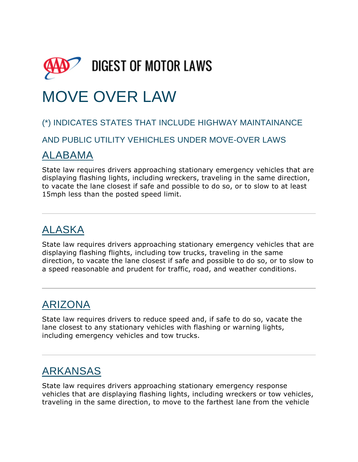

# MOVE OVER LAW

#### (\*) INDICATES STATES THAT INCLUDE HIGHWAY MAINTAINANCE

AND PUBLIC UTILITY VEHICHLES UNDER MOVE-OVER LAWS

#### [ALABAMA](http://drivinglaws.aaa.com/category/us-motor-laws/alabama/)

State law requires drivers approaching stationary emergency vehicles that are displaying flashing lights, including wreckers, traveling in the same direction, to vacate the lane closest if safe and possible to do so, or to slow to at least 15mph less than the posted speed limit.

### [ALASKA](http://drivinglaws.aaa.com/category/us-motor-laws/alaska/)

State law requires drivers approaching stationary emergency vehicles that are displaying flashing flights, including tow trucks, traveling in the same direction, to vacate the lane closest if safe and possible to do so, or to slow to a speed reasonable and prudent for traffic, road, and weather conditions.

## [ARIZONA](http://drivinglaws.aaa.com/category/us-motor-laws/arizona/)

State law requires drivers to reduce speed and, if safe to do so, vacate the lane closest to any stationary vehicles with flashing or warning lights, including emergency vehicles and tow trucks.

### [ARKANSAS](http://drivinglaws.aaa.com/category/us-motor-laws/arkansas/)

State law requires drivers approaching stationary emergency response vehicles that are displaying flashing lights, including wreckers or tow vehicles, traveling in the same direction, to move to the farthest lane from the vehicle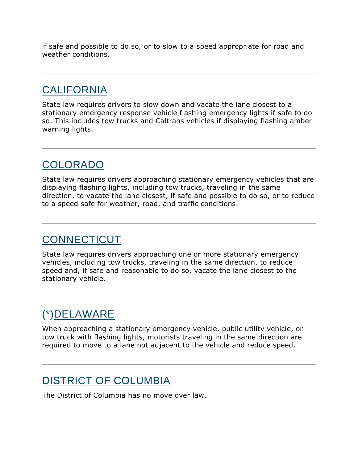if safe and possible to do so, or to slow to a speed appropriate for road and weather conditions.

### **[CALIFORNIA](http://drivinglaws.aaa.com/category/us-motor-laws/california/)**

State law requires drivers to slow down and vacate the lane closest to a stationary emergency response vehicle flashing emergency lights if safe to do so. This includes tow trucks and Caltrans vehicles if displaying flashing amber warning lights.

### [COLORADO](http://drivinglaws.aaa.com/category/us-motor-laws/colorado/)

State law requires drivers approaching stationary emergency vehicles that are displaying flashing lights, including tow trucks, traveling in the same direction, to vacate the lane closest, if safe and possible to do so, or to reduce to a speed safe for weather, road, and traffic conditions.

### **[CONNECTICUT](http://drivinglaws.aaa.com/category/us-motor-laws/connecticut/)**

State law requires drivers approaching one or more stationary emergency vehicles, including tow trucks, traveling in the same direction, to reduce speed and, if safe and reasonable to do so, vacate the lane closest to the stationary vehicle.

### (\*[\)DELAWARE](http://drivinglaws.aaa.com/category/us-motor-laws/delaware/)

When approaching a stationary emergency vehicle, public utility vehicle, or tow truck with flashing lights, motorists traveling in the same direction are required to move to a lane not adjacent to the vehicle and reduce speed.

### [DISTRICT OF COLUMBIA](http://drivinglaws.aaa.com/category/us-motor-laws/district-of-columbia/)

The District of Columbia has no move over law.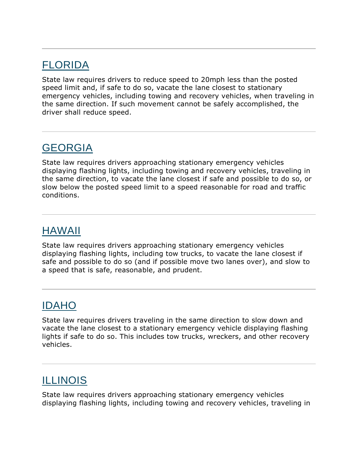#### [FLORIDA](http://drivinglaws.aaa.com/category/us-motor-laws/florida/)

State law requires drivers to reduce speed to 20mph less than the posted speed limit and, if safe to do so, vacate the lane closest to stationary emergency vehicles, including towing and recovery vehicles, when traveling in the same direction. If such movement cannot be safely accomplished, the driver shall reduce speed.

### [GEORGIA](http://drivinglaws.aaa.com/category/us-motor-laws/georgia/)

State law requires drivers approaching stationary emergency vehicles displaying flashing lights, including towing and recovery vehicles, traveling in the same direction, to vacate the lane closest if safe and possible to do so, or slow below the posted speed limit to a speed reasonable for road and traffic conditions.

### [HAWAII](http://drivinglaws.aaa.com/category/us-motor-laws/hawaii/)

State law requires drivers approaching stationary emergency vehicles displaying flashing lights, including tow trucks, to vacate the lane closest if safe and possible to do so (and if possible move two lanes over), and slow to a speed that is safe, reasonable, and prudent.

### [IDAHO](http://drivinglaws.aaa.com/category/us-motor-laws/idaho/)

State law requires drivers traveling in the same direction to slow down and vacate the lane closest to a stationary emergency vehicle displaying flashing lights if safe to do so. This includes tow trucks, wreckers, and other recovery vehicles.

### **[ILLINOIS](http://drivinglaws.aaa.com/category/us-motor-laws/illinois/)**

State law requires drivers approaching stationary emergency vehicles displaying flashing lights, including towing and recovery vehicles, traveling in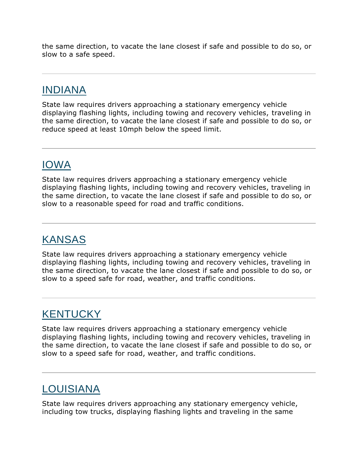the same direction, to vacate the lane closest if safe and possible to do so, or slow to a safe speed.

### [INDIANA](http://drivinglaws.aaa.com/category/us-motor-laws/indiana/)

State law requires drivers approaching a stationary emergency vehicle displaying flashing lights, including towing and recovery vehicles, traveling in the same direction, to vacate the lane closest if safe and possible to do so, or reduce speed at least 10mph below the speed limit.

### [IOWA](http://drivinglaws.aaa.com/category/us-motor-laws/iowa/)

State law requires drivers approaching a stationary emergency vehicle displaying flashing lights, including towing and recovery vehicles, traveling in the same direction, to vacate the lane closest if safe and possible to do so, or slow to a reasonable speed for road and traffic conditions.

### [KANSAS](http://drivinglaws.aaa.com/category/us-motor-laws/kansas/)

State law requires drivers approaching a stationary emergency vehicle displaying flashing lights, including towing and recovery vehicles, traveling in the same direction, to vacate the lane closest if safe and possible to do so, or slow to a speed safe for road, weather, and traffic conditions.

### **[KENTUCKY](http://drivinglaws.aaa.com/category/us-motor-laws/kentucky/)**

State law requires drivers approaching a stationary emergency vehicle displaying flashing lights, including towing and recovery vehicles, traveling in the same direction, to vacate the lane closest if safe and possible to do so, or slow to a speed safe for road, weather, and traffic conditions.

## [LOUISIANA](http://drivinglaws.aaa.com/category/us-motor-laws/louisiana/)

State law requires drivers approaching any stationary emergency vehicle, including tow trucks, displaying flashing lights and traveling in the same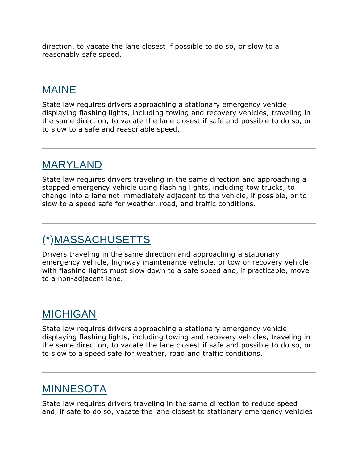direction, to vacate the lane closest if possible to do so, or slow to a reasonably safe speed.

### [MAINE](http://drivinglaws.aaa.com/category/us-motor-laws/maine/)

State law requires drivers approaching a stationary emergency vehicle displaying flashing lights, including towing and recovery vehicles, traveling in the same direction, to vacate the lane closest if safe and possible to do so, or to slow to a safe and reasonable speed.

### [MARYLAND](http://drivinglaws.aaa.com/category/us-motor-laws/maryland/)

State law requires drivers traveling in the same direction and approaching a stopped emergency vehicle using flashing lights, including tow trucks, to change into a lane not immediately adjacent to the vehicle, if possible, or to slow to a speed safe for weather, road, and traffic conditions.

### (\*[\)MASSACHUSETTS](http://drivinglaws.aaa.com/category/us-motor-laws/massachusetts/)

Drivers traveling in the same direction and approaching a stationary emergency vehicle, highway maintenance vehicle, or tow or recovery vehicle with flashing lights must slow down to a safe speed and, if practicable, move to a non-adjacent lane.

#### [MICHIGAN](http://drivinglaws.aaa.com/category/us-motor-laws/michigan/)

State law requires drivers approaching a stationary emergency vehicle displaying flashing lights, including towing and recovery vehicles, traveling in the same direction, to vacate the lane closest if safe and possible to do so, or to slow to a speed safe for weather, road and traffic conditions.

### **[MINNESOTA](http://drivinglaws.aaa.com/category/us-motor-laws/minnesota/)**

State law requires drivers traveling in the same direction to reduce speed and, if safe to do so, vacate the lane closest to stationary emergency vehicles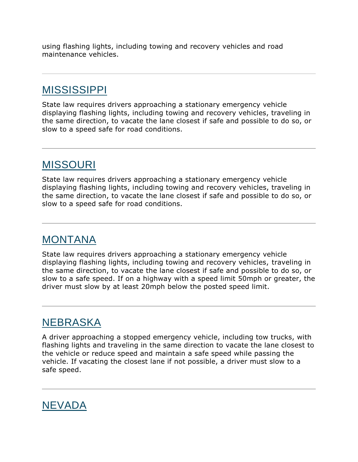using flashing lights, including towing and recovery vehicles and road maintenance vehicles.

### [MISSISSIPPI](http://drivinglaws.aaa.com/category/us-motor-laws/mississippi/)

State law requires drivers approaching a stationary emergency vehicle displaying flashing lights, including towing and recovery vehicles, traveling in the same direction, to vacate the lane closest if safe and possible to do so, or slow to a speed safe for road conditions.

#### [MISSOURI](http://drivinglaws.aaa.com/category/us-motor-laws/missouri/)

State law requires drivers approaching a stationary emergency vehicle displaying flashing lights, including towing and recovery vehicles, traveling in the same direction, to vacate the lane closest if safe and possible to do so, or slow to a speed safe for road conditions.

#### [MONTANA](http://drivinglaws.aaa.com/category/us-motor-laws/montana/)

State law requires drivers approaching a stationary emergency vehicle displaying flashing lights, including towing and recovery vehicles, traveling in the same direction, to vacate the lane closest if safe and possible to do so, or slow to a safe speed. If on a highway with a speed limit 50mph or greater, the driver must slow by at least 20mph below the posted speed limit.

#### [NEBRASKA](http://drivinglaws.aaa.com/category/us-motor-laws/nebraska/)

A driver approaching a stopped emergency vehicle, including tow trucks, with flashing lights and traveling in the same direction to vacate the lane closest to the vehicle or reduce speed and maintain a safe speed while passing the vehicle. If vacating the closest lane if not possible, a driver must slow to a safe speed.

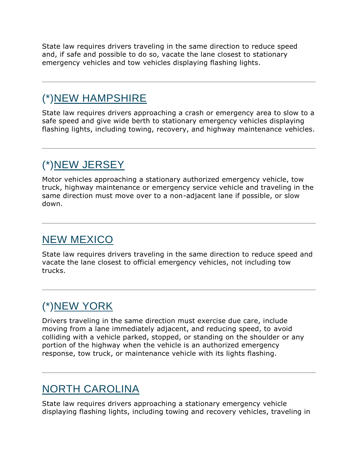State law requires drivers traveling in the same direction to reduce speed and, if safe and possible to do so, vacate the lane closest to stationary emergency vehicles and tow vehicles displaying flashing lights.

### (\*[\)NEW HAMPSHIRE](http://drivinglaws.aaa.com/category/us-motor-laws/new-hampshire/)

State law requires drivers approaching a crash or emergency area to slow to a safe speed and give wide berth to stationary emergency vehicles displaying flashing lights, including towing, recovery, and highway maintenance vehicles.

## (\*[\)NEW JERSEY](http://drivinglaws.aaa.com/category/us-motor-laws/new-jersey/)

Motor vehicles approaching a stationary authorized emergency vehicle, tow truck, highway maintenance or emergency service vehicle and traveling in the same direction must move over to a non-adjacent lane if possible, or slow down.

### [NEW MEXICO](http://drivinglaws.aaa.com/category/us-motor-laws/new-mexico/)

State law requires drivers traveling in the same direction to reduce speed and vacate the lane closest to official emergency vehicles, not including tow trucks.

## (\*[\)NEW YORK](http://drivinglaws.aaa.com/category/us-motor-laws/new-york/)

Drivers traveling in the same direction must exercise due care, include moving from a lane immediately adjacent, and reducing speed, to avoid colliding with a vehicle parked, stopped, or standing on the shoulder or any portion of the highway when the vehicle is an authorized emergency response, tow truck, or maintenance vehicle with its lights flashing.

### [NORTH CAROLINA](http://drivinglaws.aaa.com/category/us-motor-laws/north-carolina/)

State law requires drivers approaching a stationary emergency vehicle displaying flashing lights, including towing and recovery vehicles, traveling in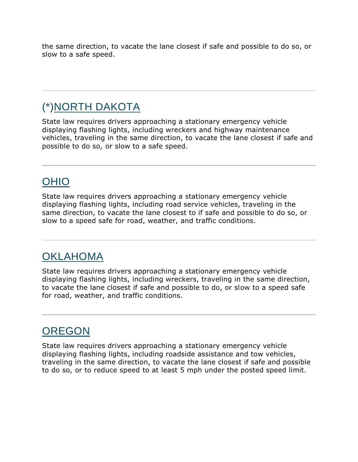the same direction, to vacate the lane closest if safe and possible to do so, or slow to a safe speed.

### (\*[\)NORTH DAKOTA](http://drivinglaws.aaa.com/category/us-motor-laws/north-dakota/)

State law requires drivers approaching a stationary emergency vehicle displaying flashing lights, including wreckers and highway maintenance vehicles, traveling in the same direction, to vacate the lane closest if safe and possible to do so, or slow to a safe speed.

### [OHIO](http://drivinglaws.aaa.com/category/us-motor-laws/ohio/)

State law requires drivers approaching a stationary emergency vehicle displaying flashing lights, including road service vehicles, traveling in the same direction, to vacate the lane closest to if safe and possible to do so, or slow to a speed safe for road, weather, and traffic conditions.

#### **[OKLAHOMA](http://drivinglaws.aaa.com/category/us-motor-laws/oklahoma/)**

State law requires drivers approaching a stationary emergency vehicle displaying flashing lights, including wreckers, traveling in the same direction, to vacate the lane closest if safe and possible to do, or slow to a speed safe for road, weather, and traffic conditions.

### **[OREGON](http://drivinglaws.aaa.com/category/us-motor-laws/oregon/)**

State law requires drivers approaching a stationary emergency vehicle displaying flashing lights, including roadside assistance and tow vehicles, traveling in the same direction, to vacate the lane closest if safe and possible to do so, or to reduce speed to at least 5 mph under the posted speed limit.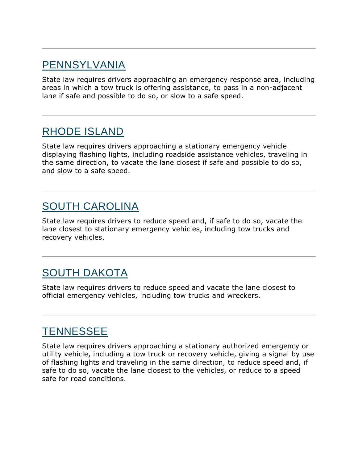#### [PENNSYLVANIA](http://drivinglaws.aaa.com/category/us-motor-laws/pennsylvania/)

State law requires drivers approaching an emergency response area, including areas in which a tow truck is offering assistance, to pass in a non-adjacent lane if safe and possible to do so, or slow to a safe speed.

#### [RHODE ISLAND](http://drivinglaws.aaa.com/category/us-motor-laws/rhode-island/)

State law requires drivers approaching a stationary emergency vehicle displaying flashing lights, including roadside assistance vehicles, traveling in the same direction, to vacate the lane closest if safe and possible to do so, and slow to a safe speed.

### [SOUTH CAROLINA](http://drivinglaws.aaa.com/category/us-motor-laws/south-carolina/)

State law requires drivers to reduce speed and, if safe to do so, vacate the lane closest to stationary emergency vehicles, including tow trucks and recovery vehicles.

### [SOUTH DAKOTA](http://drivinglaws.aaa.com/category/us-motor-laws/south-dakota/)

State law requires drivers to reduce speed and vacate the lane closest to official emergency vehicles, including tow trucks and wreckers.

#### **[TENNESSEE](http://drivinglaws.aaa.com/category/us-motor-laws/tennessee/)**

State law requires drivers approaching a stationary authorized emergency or utility vehicle, including a tow truck or recovery vehicle, giving a signal by use of flashing lights and traveling in the same direction, to reduce speed and, if safe to do so, vacate the lane closest to the vehicles, or reduce to a speed safe for road conditions.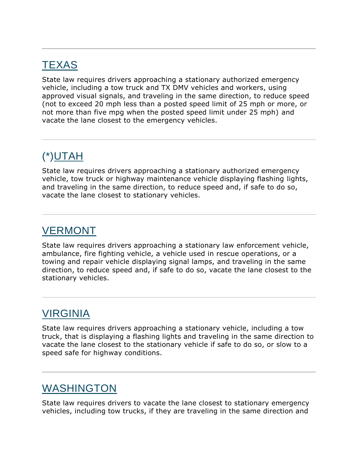### **[TEXAS](http://drivinglaws.aaa.com/category/us-motor-laws/texas/)**

State law requires drivers approaching a stationary authorized emergency vehicle, including a tow truck and TX DMV vehicles and workers, using approved visual signals, and traveling in the same direction, to reduce speed (not to exceed 20 mph less than a posted speed limit of 25 mph or more, or not more than five mpg when the posted speed limit under 25 mph) and vacate the lane closest to the emergency vehicles.

### (\*[\)UTAH](http://drivinglaws.aaa.com/category/us-motor-laws/utah/)

State law requires drivers approaching a stationary authorized emergency vehicle, tow truck or highway maintenance vehicle displaying flashing lights, and traveling in the same direction, to reduce speed and, if safe to do so, vacate the lane closest to stationary vehicles.

#### [VERMONT](http://drivinglaws.aaa.com/category/us-motor-laws/vermont/)

State law requires drivers approaching a stationary law enforcement vehicle, ambulance, fire fighting vehicle, a vehicle used in rescue operations, or a towing and repair vehicle displaying signal lamps, and traveling in the same direction, to reduce speed and, if safe to do so, vacate the lane closest to the stationary vehicles.

#### [VIRGINIA](http://drivinglaws.aaa.com/category/us-motor-laws/virginia/)

State law requires drivers approaching a stationary vehicle, including a tow truck, that is displaying a flashing lights and traveling in the same direction to vacate the lane closest to the stationary vehicle if safe to do so, or slow to a speed safe for highway conditions.

### [WASHINGTON](http://drivinglaws.aaa.com/category/us-motor-laws/washington/)

State law requires drivers to vacate the lane closest to stationary emergency vehicles, including tow trucks, if they are traveling in the same direction and